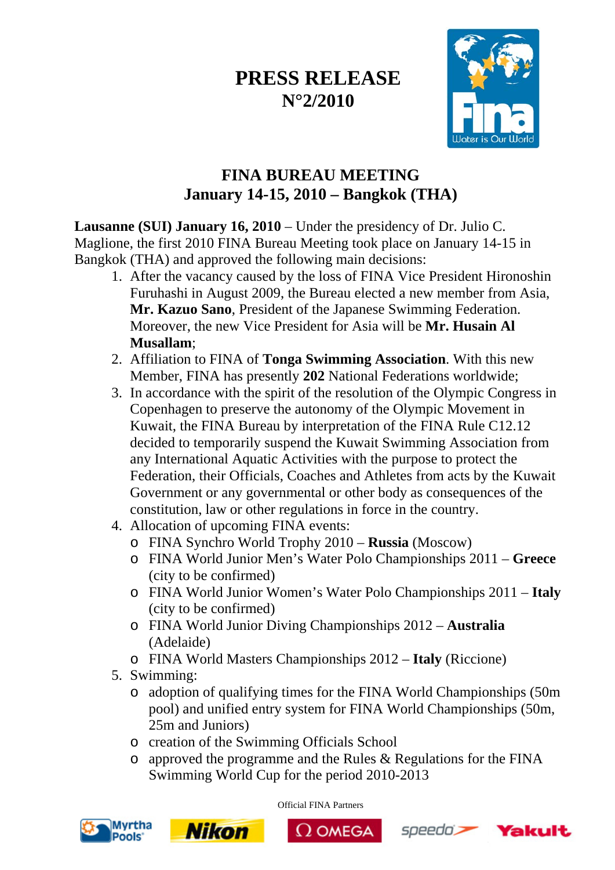## **PRESS RELEASE N°2/2010**



## **FINA BUREAU MEETING January 14-15, 2010 – Bangkok (THA)**

**Lausanne (SUI) January 16, 2010** – Under the presidency of Dr. Julio C. Maglione, the first 2010 FINA Bureau Meeting took place on January 14-15 in Bangkok (THA) and approved the following main decisions:

- 1. After the vacancy caused by the loss of FINA Vice President Hironoshin Furuhashi in August 2009, the Bureau elected a new member from Asia, **Mr. Kazuo Sano**, President of the Japanese Swimming Federation. Moreover, the new Vice President for Asia will be **Mr. Husain Al Musallam**;
- 2. Affiliation to FINA of **Tonga Swimming Association**. With this new Member, FINA has presently **202** National Federations worldwide;
- 3. In accordance with the spirit of the resolution of the Olympic Congress in Copenhagen to preserve the autonomy of the Olympic Movement in Kuwait, the FINA Bureau by interpretation of the FINA Rule C12.12 decided to temporarily suspend the Kuwait Swimming Association from any International Aquatic Activities with the purpose to protect the Federation, their Officials, Coaches and Athletes from acts by the Kuwait Government or any governmental or other body as consequences of the constitution, law or other regulations in force in the country.
- 4. Allocation of upcoming FINA events:
	- o FINA Synchro World Trophy 2010 **Russia** (Moscow)
	- o FINA World Junior Men's Water Polo Championships 2011 **Greece** (city to be confirmed)
	- o FINA World Junior Women's Water Polo Championships 2011 **Italy** (city to be confirmed)
	- o FINA World Junior Diving Championships 2012 **Australia** (Adelaide)
	- o FINA World Masters Championships 2012 **Italy** (Riccione)
- 5. Swimming:
	- o adoption of qualifying times for the FINA World Championships (50m pool) and unified entry system for FINA World Championships (50m, 25m and Juniors)
	- o creation of the Swimming Officials School

**Nikon** 

 $\circ$  approved the programme and the Rules & Regulations for the FINA Swimming World Cup for the period 2010-2013



Official FINA Partners





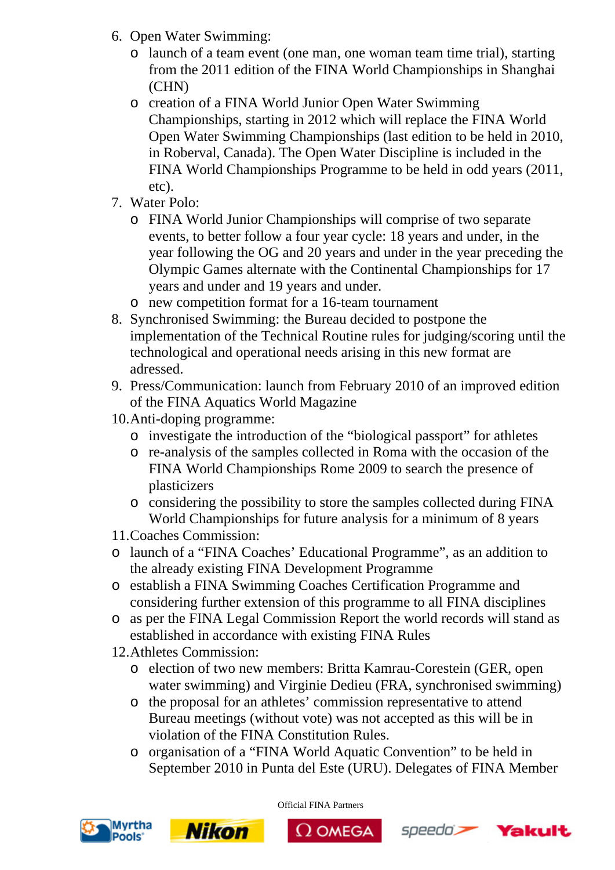- 6. Open Water Swimming:
	- o launch of a team event (one man, one woman team time trial), starting from the 2011 edition of the FINA World Championships in Shanghai (CHN)
	- o creation of a FINA World Junior Open Water Swimming Championships, starting in 2012 which will replace the FINA World Open Water Swimming Championships (last edition to be held in 2010, in Roberval, Canada). The Open Water Discipline is included in the FINA World Championships Programme to be held in odd years (2011, etc).
- 7. Water Polo:
	- o FINA World Junior Championships will comprise of two separate events, to better follow a four year cycle: 18 years and under, in the year following the OG and 20 years and under in the year preceding the Olympic Games alternate with the Continental Championships for 17 years and under and 19 years and under.
	- o new competition format for a 16-team tournament
- 8. Synchronised Swimming: the Bureau decided to postpone the implementation of the Technical Routine rules for judging/scoring until the technological and operational needs arising in this new format are adressed.
- 9. Press/Communication: launch from February 2010 of an improved edition of the FINA Aquatics World Magazine
- 10.Anti-doping programme:
	- o investigate the introduction of the "biological passport" for athletes
	- o re-analysis of the samples collected in Roma with the occasion of the FINA World Championships Rome 2009 to search the presence of plasticizers
	- o considering the possibility to store the samples collected during FINA World Championships for future analysis for a minimum of 8 years
- 11.Coaches Commission:
- o launch of a "FINA Coaches' Educational Programme", as an addition to the already existing FINA Development Programme
- o establish a FINA Swimming Coaches Certification Programme and considering further extension of this programme to all FINA disciplines
- o as per the FINA Legal Commission Report the world records will stand as established in accordance with existing FINA Rules
- 12.Athletes Commission:
	- o election of two new members: Britta Kamrau-Corestein (GER, open water swimming) and Virginie Dedieu (FRA, synchronised swimming)
	- o the proposal for an athletes' commission representative to attend Bureau meetings (without vote) was not accepted as this will be in violation of the FINA Constitution Rules.
	- o organisation of a "FINA World Aquatic Convention" to be held in September 2010 in Punta del Este (URU). Delegates of FINA Member







 $\Omega$  OMEGA